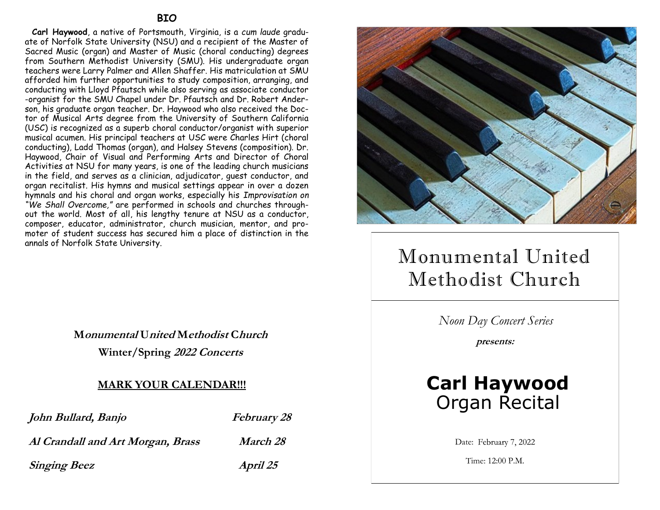**Carl Haywood**, a native of Portsmouth, Virginia, is a *cum laude* graduate of Norfolk State University (NSU) and a recipient of the Master of Sacred Music (organ) and Master of Music (choral conducting) degrees from Southern Methodist University (SMU). His undergraduate organ teachers were Larry Palmer and Allen Shaffer. His matriculation at SMU afforded him further opportunities to study composition, arranging, and conducting with Lloyd Pfautsch while also serving as associate conductor -organist for the SMU Chapel under Dr. Pfautsch and Dr. Robert Anderson, his graduate organ teacher. Dr. Haywood who also received the Doctor of Musical Arts degree from the University of Southern California (USC) is recognized as a superb choral conductor/organist with superior musical acumen. His principal teachers at USC were Charles Hirt (choral conducting), Ladd Thomas (organ), and Halsey Stevens (composition). Dr. Haywood, Chair of Visual and Performing Arts and Director of Choral Activities at NSU for many years, is one of the leading church musicians in the field, and serves as a clinician, adjudicator, guest conductor, and organ recitalist. His hymns and musical settings appear in over a dozen hymnals and his choral and organ works, especially his *Improvisation on "We Shall Overcome,"* are performed in schools and churches throughout the world. Most of all, his lengthy tenure at NSU as a conductor, composer, educator, administrator, church musician, mentor, and promoter of student success has secured him a place of distinction in the annals of Norfolk State University.

> **Monumental United Methodist Church Winter/Spring 2022 Concerts**

## **MARK YOUR CALENDAR!!!**

| John Bullard, Banjo               | <i>February 28</i> |
|-----------------------------------|--------------------|
| Al Crandall and Art Morgan, Brass | <i>March 28</i>    |
| <b>Singing Beez</b>               | April 25           |



# Monumental United Methodist Church

*Noon Day Concert Series*

**presents:**

## **Carl Haywood** Organ Recital

Date: February 7, 2022

Time: 12:00 P.M.